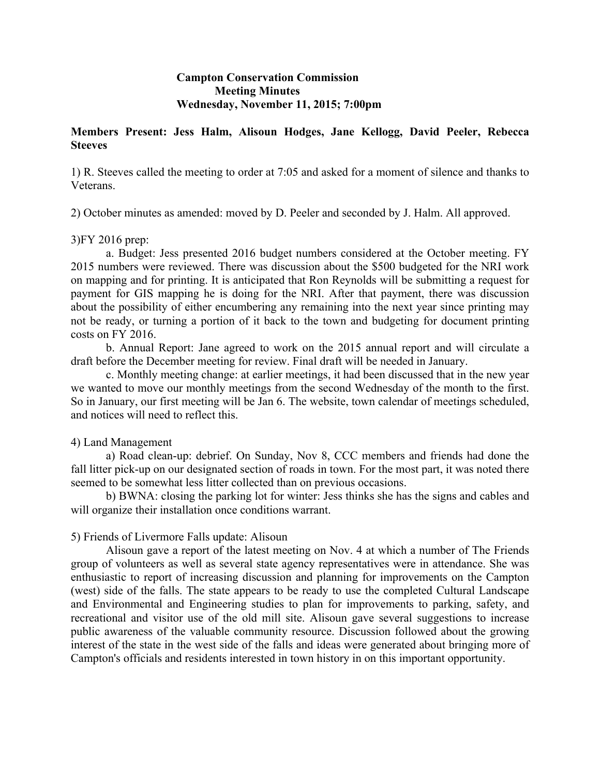# **Campton Conservation Commission Meeting Minutes Wednesday, November 11, 2015; 7:00pm**

# **Members Present: Jess Halm, Alisoun Hodges, Jane Kellogg, David Peeler, Rebecca Steeves**

1) R. Steeves called the meeting to order at 7:05 and asked for a moment of silence and thanks to Veterans.

2) October minutes as amended: moved by D. Peeler and seconded by J. Halm. All approved.

# 3)FY 2016 prep:

a. Budget: Jess presented 2016 budget numbers considered at the October meeting. FY 2015 numbers were reviewed. There was discussion about the \$500 budgeted for the NRI work on mapping and for printing. It is anticipated that Ron Reynolds will be submitting a request for payment for GIS mapping he is doing for the NRI. After that payment, there was discussion about the possibility of either encumbering any remaining into the next year since printing may not be ready, or turning a portion of it back to the town and budgeting for document printing costs on FY 2016.

b. Annual Report: Jane agreed to work on the 2015 annual report and will circulate a draft before the December meeting for review. Final draft will be needed in January.

c. Monthly meeting change: at earlier meetings, it had been discussed that in the new year we wanted to move our monthly meetings from the second Wednesday of the month to the first. So in January, our first meeting will be Jan 6. The website, town calendar of meetings scheduled, and notices will need to reflect this.

# 4) Land Management

a) Road clean-up: debrief. On Sunday, Nov 8, CCC members and friends had done the fall litter pick-up on our designated section of roads in town. For the most part, it was noted there seemed to be somewhat less litter collected than on previous occasions.

b) BWNA: closing the parking lot for winter: Jess thinks she has the signs and cables and will organize their installation once conditions warrant.

# 5) Friends of Livermore Falls update: Alisoun

Alisoun gave a report of the latest meeting on Nov. 4 at which a number of The Friends group of volunteers as well as several state agency representatives were in attendance. She was enthusiastic to report of increasing discussion and planning for improvements on the Campton (west) side of the falls. The state appears to be ready to use the completed Cultural Landscape and Environmental and Engineering studies to plan for improvements to parking, safety, and recreational and visitor use of the old mill site. Alisoun gave several suggestions to increase public awareness of the valuable community resource. Discussion followed about the growing interest of the state in the west side of the falls and ideas were generated about bringing more of Campton's officials and residents interested in town history in on this important opportunity.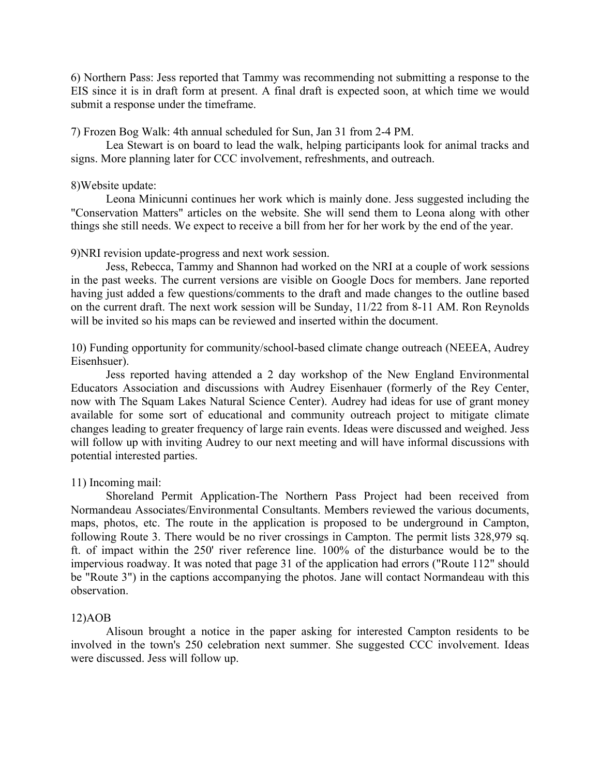6) Northern Pass: Jess reported that Tammy was recommending not submitting a response to the EIS since it is in draft form at present. A final draft is expected soon, at which time we would submit a response under the timeframe.

7) Frozen Bog Walk: 4th annual scheduled for Sun, Jan 31 from 2-4 PM.

Lea Stewart is on board to lead the walk, helping participants look for animal tracks and signs. More planning later for CCC involvement, refreshments, and outreach.

#### 8)Website update:

Leona Minicunni continues her work which is mainly done. Jess suggested including the "Conservation Matters" articles on the website. She will send them to Leona along with other things she still needs. We expect to receive a bill from her for her work by the end of the year.

# 9)NRI revision update-progress and next work session.

Jess, Rebecca, Tammy and Shannon had worked on the NRI at a couple of work sessions in the past weeks. The current versions are visible on Google Docs for members. Jane reported having just added a few questions/comments to the draft and made changes to the outline based on the current draft. The next work session will be Sunday, 11/22 from 8-11 AM. Ron Reynolds will be invited so his maps can be reviewed and inserted within the document.

10) Funding opportunity for community/school-based climate change outreach (NEEEA, Audrey Eisenhsuer).

Jess reported having attended a 2 day workshop of the New England Environmental Educators Association and discussions with Audrey Eisenhauer (formerly of the Rey Center, now with The Squam Lakes Natural Science Center). Audrey had ideas for use of grant money available for some sort of educational and community outreach project to mitigate climate changes leading to greater frequency of large rain events. Ideas were discussed and weighed. Jess will follow up with inviting Audrey to our next meeting and will have informal discussions with potential interested parties.

# 11) Incoming mail:

Shoreland Permit Application-The Northern Pass Project had been received from Normandeau Associates/Environmental Consultants. Members reviewed the various documents, maps, photos, etc. The route in the application is proposed to be underground in Campton, following Route 3. There would be no river crossings in Campton. The permit lists 328,979 sq. ft. of impact within the 250' river reference line. 100% of the disturbance would be to the impervious roadway. It was noted that page 31 of the application had errors ("Route 112" should be "Route 3") in the captions accompanying the photos. Jane will contact Normandeau with this observation.

#### 12)AOB

Alisoun brought a notice in the paper asking for interested Campton residents to be involved in the town's 250 celebration next summer. She suggested CCC involvement. Ideas were discussed. Jess will follow up.